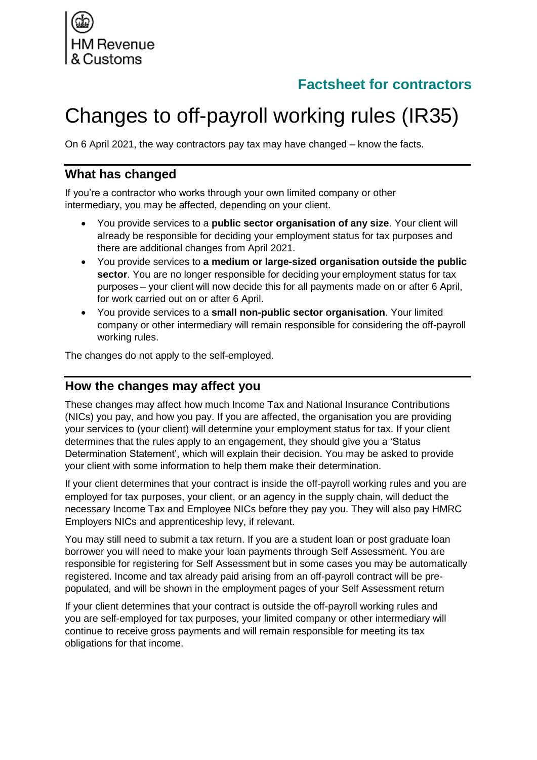

## **Factsheet for contractors**

# Changes to off-payroll working rules (IR35)

On 6 April 2021, the way contractors pay tax may have changed – know the facts.

#### **What has changed**

If you're a contractor who works through your own limited company or other intermediary, you may be affected, depending on your client.

- You provide services to a **public sector organisation of any size**. Your client will already be responsible for deciding your employment status for tax purposes and there are additional changes from April 2021.
- You provide services to **a medium or large-sized organisation outside the public sector**. You are no longer responsible for deciding your employment status for tax purposes – your client will now decide this for all payments made on or after 6 April, for work carried out on or after 6 April.
- You provide services to a **small non-public sector organisation**. Your limited company or other intermediary will remain responsible for considering the off-payroll working rules.

The changes do not apply to the self-employed.

#### **How the changes may affect you**

These changes may affect how much Income Tax and National Insurance Contributions (NICs) you pay, and how you pay. If you are affected, the organisation you are providing your services to (your client) will determine your employment status for tax. If your client determines that the rules apply to an engagement, they should give you a 'Status Determination Statement', which will explain their decision. You may be asked to provide your client with some information to help them make their determination.

If your client determines that your contract is inside the off-payroll working rules and you are employed for tax purposes, your client, or an agency in the supply chain, will deduct the necessary Income Tax and Employee NICs before they pay you. They will also pay HMRC Employers NICs and apprenticeship levy, if relevant.

You may still need to submit a tax return. If you are a student loan or post graduate loan borrower you will need to make your loan payments through Self Assessment. You are responsible for registering for Self Assessment but in some cases you may be automatically registered. Income and tax already paid arising from an off-payroll contract will be prepopulated, and will be shown in the employment pages of your Self Assessment return

If your client determines that your contract is outside the off-payroll working rules and you are self-employed for tax purposes, your limited company or other intermediary will continue to receive gross payments and will remain responsible for meeting its tax obligations for that income.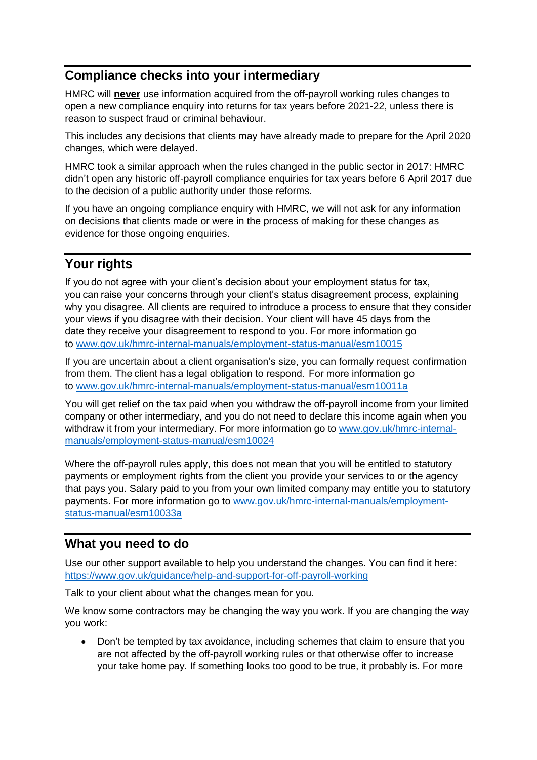## **Compliance checks into your intermediary**

HMRC will **never** use information acquired from the off-payroll working rules changes to open a new compliance enquiry into returns for tax years before 2021-22, unless there is reason to suspect fraud or criminal behaviour.

This includes any decisions that clients may have already made to prepare for the April 2020 changes, which were delayed.

HMRC took a similar approach when the rules changed in the public sector in 2017: HMRC didn't open any historic off-payroll compliance enquiries for tax years before 6 April 2017 due to the decision of a public authority under those reforms.

If you have an ongoing compliance enquiry with HMRC, we will not ask for any information on decisions that clients made or were in the process of making for these changes as evidence for those ongoing enquiries.

## **Your rights**

If you do not agree with your client's decision about your employment status for tax, you can raise your concerns through your client's status disagreement process, explaining why you disagree. All clients are required to introduce a process to ensure that they consider your views if you disagree with their decision. Your client will have 45 days from the date they receive your disagreement to respond to you. For more information go to [www.gov.uk/hmrc-internal-manuals/employment-status-manual/esm10015](https://www.gov.uk/hmrc-internal-manuals/employment-status-manual/esm10015)

If you are uncertain about a client organisation's size, you can formally request confirmation from them. The client has a legal obligation to respond.  For more information go to [www.gov.uk/hmrc-internal-manuals/employment-status-manual/esm10011a](http://www.gov.uk/hmrc-internal-manuals/employment-status-manual/esm10011a)

You will get relief on the tax paid when you withdraw the off-payroll income from your limited company or other intermediary, and you do not need to declare this income again when you withdraw it from your intermediary. For more information go to [www.gov.uk/hmrc-internal](https://www.gov.uk/hmrc-internal-manuals/employment-status-manual/esm10024)[manuals/employment-status-manual/esm10024](https://www.gov.uk/hmrc-internal-manuals/employment-status-manual/esm10024)

Where the off-payroll rules apply, this does not mean that you will be entitled to statutory payments or employment rights from the client you provide your services to or the agency that pays you. Salary paid to you from your own limited company may entitle you to statutory payments. For more information go to [www.gov.uk/hmrc-internal-manuals/employment](http://www.gov.uk/hmrc-internal-manuals/employment-status-manual/esm10033a)[status-manual/esm10033a](http://www.gov.uk/hmrc-internal-manuals/employment-status-manual/esm10033a)

### **What you need to do**

Use our other support available to help you understand the changes. You can find it here: <https://www.gov.uk/guidance/help-and-support-for-off-payroll-working>

Talk to your client about what the changes mean for you.

We know some contractors may be changing the way you work. If you are changing the way you work:

• Don't be tempted by tax avoidance, including schemes that claim to ensure that you are not affected by the off-payroll working rules or that otherwise offer to increase your take home pay. If something looks too good to be true, it probably is. For more